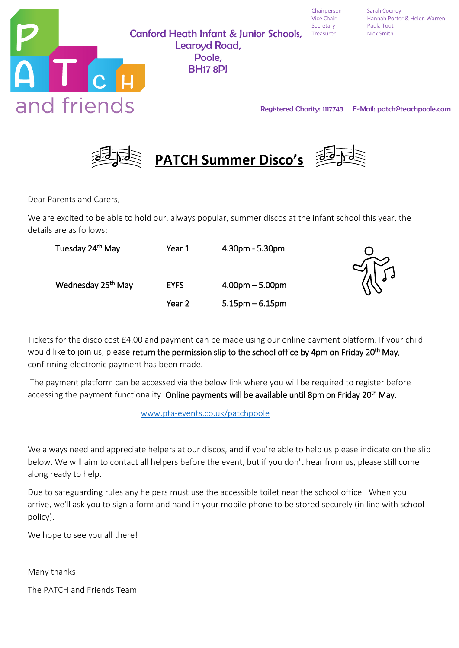

Canford Heath Infant & Junior Schools, Treasurer Mick Smith Learoyd Road, Poole, BH17 8PJ

Secretary Paula Tout

Chairperson Sarah Cooney Vice Chair Hannah Porter & Helen Warren

Registered Charity: 1117743 E-Mail: patch@teachpoole.com



Dear Parents and Carers,

We are excited to be able to hold our, always popular, summer discos at the infant school this year, the details are as follows:

| Tuesday 24 <sup>th</sup> May   | Year 1      | $4.30pm - 5.30pm$ |                       |
|--------------------------------|-------------|-------------------|-----------------------|
|                                |             |                   | $\frac{d}{d\sqrt{d}}$ |
| Wednesday 25 <sup>th</sup> May | <b>EYFS</b> | $4.00pm - 5.00pm$ |                       |
|                                | Year 2      | $5.15pm - 6.15pm$ |                       |

Tickets for the disco cost £4.00 and payment can be made using our online payment platform. If your child would like to join us, please return the permission slip to the school office by 4pm on Friday 20<sup>th</sup> May, confirming electronic payment has been made.

The payment platform can be accessed via the below link where you will be required to register before accessing the payment functionality. Online payments will be available until 8pm on Friday 20<sup>th</sup> May.

[www.pta-events.co.uk/patchpoole](http://www.pta-events.co.uk/patchpoole)

We always need and appreciate helpers at our discos, and if you're able to help us please indicate on the slip below. We will aim to contact all helpers before the event, but if you don't hear from us, please still come along ready to help.

Due to safeguarding rules any helpers must use the accessible toilet near the school office. When you arrive, we'll ask you to sign a form and hand in your mobile phone to be stored securely (in line with school policy).

We hope to see you all there!

Many thanks

The PATCH and Friends Team